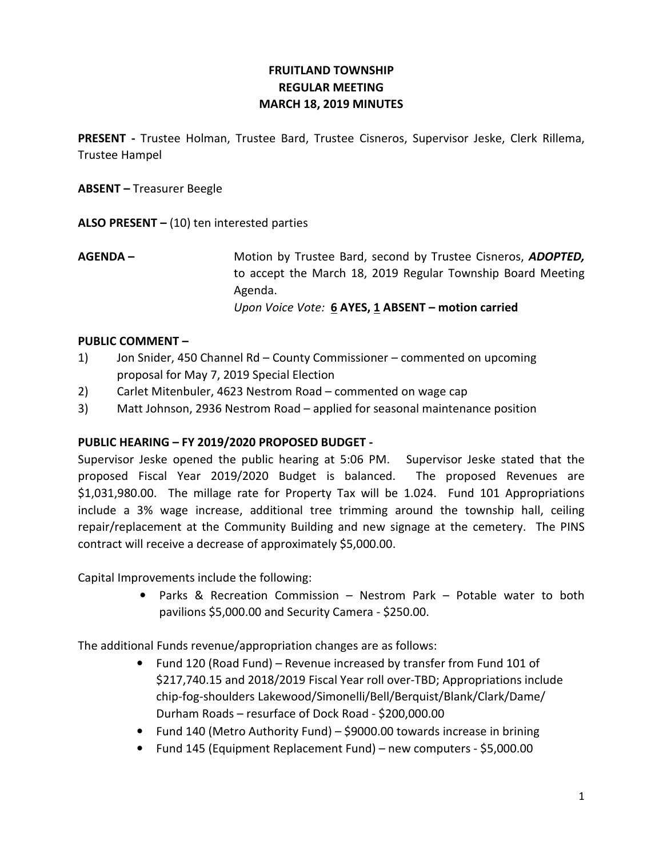# FRUITLAND TOWNSHIP REGULAR MEETING MARCH 18, 2019 MINUTES

PRESENT - Trustee Holman, Trustee Bard, Trustee Cisneros, Supervisor Jeske, Clerk Rillema, Trustee Hampel

ABSENT – Treasurer Beegle

ALSO PRESENT  $-$  (10) ten interested parties

AGENDA – Motion by Trustee Bard, second by Trustee Cisneros, ADOPTED, to accept the March 18, 2019 Regular Township Board Meeting Agenda. Upon Voice Vote:  $6$  AYES, 1 ABSENT – motion carried

### PUBLIC COMMENT –

- 1) Jon Snider, 450 Channel Rd County Commissioner commented on upcoming proposal for May 7, 2019 Special Election
- 2) Carlet Mitenbuler, 4623 Nestrom Road commented on wage cap
- 3) Matt Johnson, 2936 Nestrom Road applied for seasonal maintenance position

## PUBLIC HEARING – FY 2019/2020 PROPOSED BUDGET -

Supervisor Jeske opened the public hearing at 5:06 PM. Supervisor Jeske stated that the proposed Fiscal Year 2019/2020 Budget is balanced. The proposed Revenues are \$1,031,980.00. The millage rate for Property Tax will be 1.024. Fund 101 Appropriations include a 3% wage increase, additional tree trimming around the township hall, ceiling repair/replacement at the Community Building and new signage at the cemetery. The PINS contract will receive a decrease of approximately \$5,000.00.

Capital Improvements include the following:

• Parks & Recreation Commission – Nestrom Park – Potable water to both pavilions \$5,000.00 and Security Camera - \$250.00.

The additional Funds revenue/appropriation changes are as follows:

- Fund 120 (Road Fund) Revenue increased by transfer from Fund 101 of \$217,740.15 and 2018/2019 Fiscal Year roll over-TBD; Appropriations include chip-fog-shoulders Lakewood/Simonelli/Bell/Berquist/Blank/Clark/Dame/ Durham Roads – resurface of Dock Road - \$200,000.00
- Fund 140 (Metro Authority Fund) \$9000.00 towards increase in brining
- Fund 145 (Equipment Replacement Fund) new computers \$5,000.00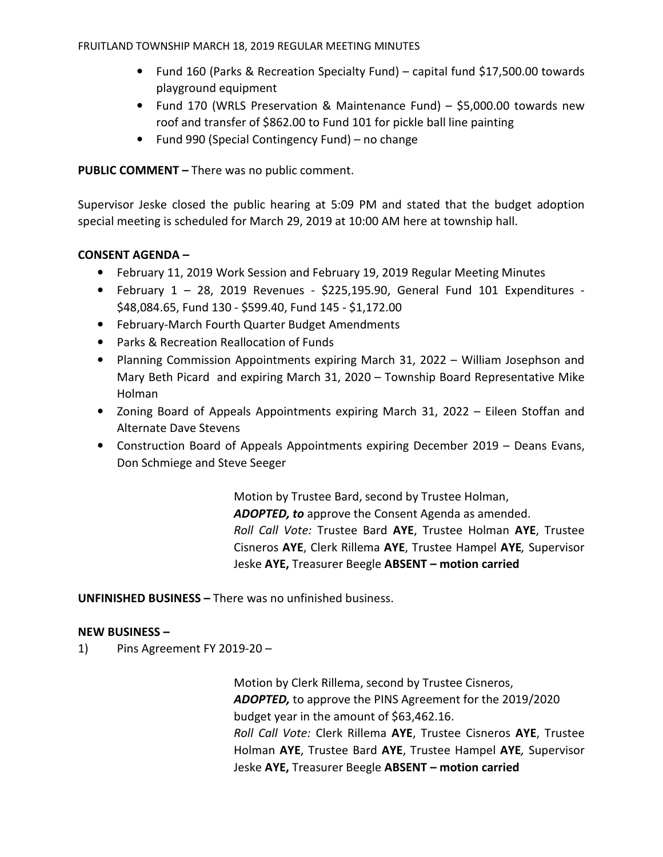FRUITLAND TOWNSHIP MARCH 18, 2019 REGULAR MEETING MINUTES

- Fund 160 (Parks & Recreation Specialty Fund) capital fund \$17,500.00 towards playground equipment
- Fund 170 (WRLS Preservation & Maintenance Fund) \$5,000.00 towards new roof and transfer of \$862.00 to Fund 101 for pickle ball line painting
- Fund 990 (Special Contingency Fund) no change

PUBLIC COMMENT – There was no public comment.

Supervisor Jeske closed the public hearing at 5:09 PM and stated that the budget adoption special meeting is scheduled for March 29, 2019 at 10:00 AM here at township hall.

### CONSENT AGENDA –

- February 11, 2019 Work Session and February 19, 2019 Regular Meeting Minutes
- February 1 28, 2019 Revenues \$225,195.90, General Fund 101 Expenditures \$48,084.65, Fund 130 - \$599.40, Fund 145 - \$1,172.00
- February-March Fourth Quarter Budget Amendments
- Parks & Recreation Reallocation of Funds
- Planning Commission Appointments expiring March 31, 2022 William Josephson and Mary Beth Picard and expiring March 31, 2020 – Township Board Representative Mike Holman
- Zoning Board of Appeals Appointments expiring March 31, 2022 Eileen Stoffan and Alternate Dave Stevens
- Construction Board of Appeals Appointments expiring December 2019 Deans Evans, Don Schmiege and Steve Seeger

 Motion by Trustee Bard, second by Trustee Holman, ADOPTED, to approve the Consent Agenda as amended. Roll Call Vote: Trustee Bard AYE, Trustee Holman AYE, Trustee Cisneros AYE, Clerk Rillema AYE, Trustee Hampel AYE, Supervisor Jeske AYE, Treasurer Beegle ABSENT - motion carried

UNFINISHED BUSINESS – There was no unfinished business.

#### NEW BUSINESS –

1) Pins Agreement FY 2019-20 –

 Motion by Clerk Rillema, second by Trustee Cisneros, ADOPTED, to approve the PINS Agreement for the 2019/2020 budget year in the amount of \$63,462.16. Roll Call Vote: Clerk Rillema AYE, Trustee Cisneros AYE, Trustee Holman AYE, Trustee Bard AYE, Trustee Hampel AYE, Supervisor Jeske AYE, Treasurer Beegle ABSENT - motion carried